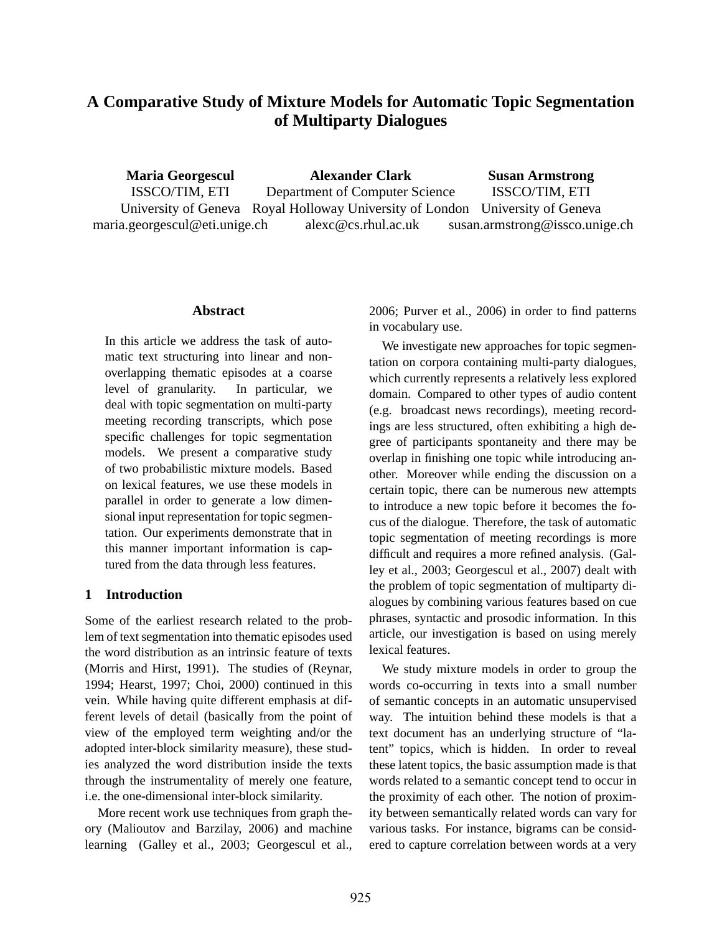# **A Comparative Study of Mixture Models for Automatic Topic Segmentation of Multiparty Dialogues**

**Maria Georgescul** ISSCO/TIM, ETI University of Geneva Royal Holloway University of London University of Geneva maria.georgescul@eti.unige.ch **Alexander Clark** Department of Computer Science alexc@cs.rhul.ac.uk **Susan Armstrong** ISSCO/TIM, ETI susan.armstrong@issco.unige.ch

#### **Abstract**

In this article we address the task of automatic text structuring into linear and nonoverlapping thematic episodes at a coarse level of granularity. In particular, we deal with topic segmentation on multi-party meeting recording transcripts, which pose specific challenges for topic segmentation models. We present a comparative study of two probabilistic mixture models. Based on lexical features, we use these models in parallel in order to generate a low dimensional input representation for topic segmentation. Our experiments demonstrate that in this manner important information is captured from the data through less features.

### **1 Introduction**

Some of the earliest research related to the problem of text segmentation into thematic episodes used the word distribution as an intrinsic feature of texts (Morris and Hirst, 1991). The studies of (Reynar, 1994; Hearst, 1997; Choi, 2000) continued in this vein. While having quite different emphasis at different levels of detail (basically from the point of view of the employed term weighting and/or the adopted inter-block similarity measure), these studies analyzed the word distribution inside the texts through the instrumentality of merely one feature, i.e. the one-dimensional inter-block similarity.

More recent work use techniques from graph theory (Malioutov and Barzilay, 2006) and machine learning (Galley et al., 2003; Georgescul et al., 2006; Purver et al., 2006) in order to find patterns in vocabulary use.

We investigate new approaches for topic segmentation on corpora containing multi-party dialogues, which currently represents a relatively less explored domain. Compared to other types of audio content (e.g. broadcast news recordings), meeting recordings are less structured, often exhibiting a high degree of participants spontaneity and there may be overlap in finishing one topic while introducing another. Moreover while ending the discussion on a certain topic, there can be numerous new attempts to introduce a new topic before it becomes the focus of the dialogue. Therefore, the task of automatic topic segmentation of meeting recordings is more difficult and requires a more refined analysis. (Galley et al., 2003; Georgescul et al., 2007) dealt with the problem of topic segmentation of multiparty dialogues by combining various features based on cue phrases, syntactic and prosodic information. In this article, our investigation is based on using merely lexical features.

We study mixture models in order to group the words co-occurring in texts into a small number of semantic concepts in an automatic unsupervised way. The intuition behind these models is that a text document has an underlying structure of "latent" topics, which is hidden. In order to reveal these latent topics, the basic assumption made is that words related to a semantic concept tend to occur in the proximity of each other. The notion of proximity between semantically related words can vary for various tasks. For instance, bigrams can be considered to capture correlation between words at a very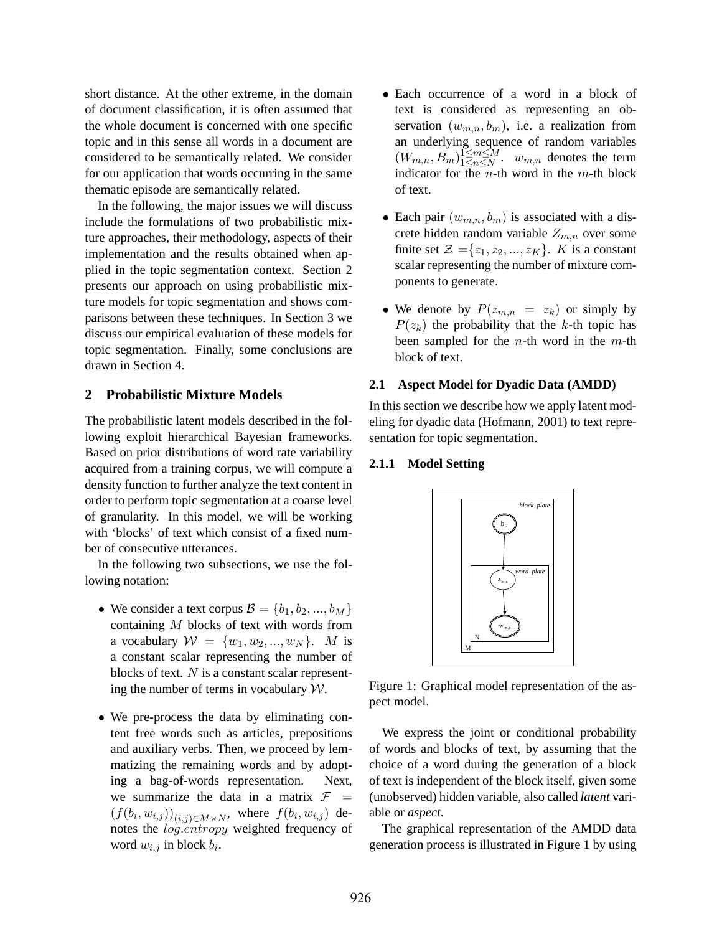short distance. At the other extreme, in the domain of document classification, it is often assumed that the whole document is concerned with one specific topic and in this sense all words in a document are considered to be semantically related. We consider for our application that words occurring in the same thematic episode are semantically related.

In the following, the major issues we will discuss include the formulations of two probabilistic mixture approaches, their methodology, aspects of their implementation and the results obtained when applied in the topic segmentation context. Section 2 presents our approach on using probabilistic mixture models for topic segmentation and shows comparisons between these techniques. In Section 3 we discuss our empirical evaluation of these models for topic segmentation. Finally, some conclusions are drawn in Section 4.

#### **2 Probabilistic Mixture Models**

The probabilistic latent models described in the following exploit hierarchical Bayesian frameworks. Based on prior distributions of word rate variability acquired from a training corpus, we will compute a density function to further analyze the text content in order to perform topic segmentation at a coarse level of granularity. In this model, we will be working with 'blocks' of text which consist of a fixed number of consecutive utterances.

In the following two subsections, we use the following notation:

- We consider a text corpus  $\mathcal{B} = \{b_1, b_2, ..., b_M\}$ containing M blocks of text with words from a vocabulary  $W = \{w_1, w_2, ..., w_N\}$ . M is a constant scalar representing the number of blocks of text.  $N$  is a constant scalar representing the number of terms in vocabulary  $W$ .
- We pre-process the data by eliminating content free words such as articles, prepositions and auxiliary verbs. Then, we proceed by lemmatizing the remaining words and by adopting a bag-of-words representation. Next, we summarize the data in a matrix  $F =$  $(f(b_i, w_{i,j}))_{(i,j)\in M\times N}$ , where  $f(b_i, w_{i,j})$  denotes the  $log.$ *entropy* weighted frequency of word  $w_{i,j}$  in block  $b_i$ .
- Each occurrence of a word in a block of text is considered as representing an observation  $(w_{m,n}, b_m)$ , i.e. a realization from an underlying sequence of random variables  $(W_{m,n}, B_m)_{1 \leq n \leq N}^{\widetilde{1 \leq m \leq M}}$  $\lim_{1 \le n \le N} \frac{1 \le m \le M}{1 \le n \le N}$ .  $w_{m,n}$  denotes the term indicator for the n-th word in the m-th block of text.
- Each pair  $(w_{m,n}, b_m)$  is associated with a discrete hidden random variable  $Z_{m,n}$  over some finite set  $\mathcal{Z} = \{z_1, z_2, ..., z_K\}$ . K is a constant scalar representing the number of mixture components to generate.
- We denote by  $P(z_{m,n} = z_k)$  or simply by  $P(z_k)$  the probability that the k-th topic has been sampled for the *n*-th word in the  $m$ -th block of text.

#### **2.1 Aspect Model for Dyadic Data (AMDD)**

In this section we describe how we apply latent modeling for dyadic data (Hofmann, 2001) to text representation for topic segmentation.

#### **2.1.1 Model Setting**



Figure 1: Graphical model representation of the aspect model.

We express the joint or conditional probability of words and blocks of text, by assuming that the choice of a word during the generation of a block of text is independent of the block itself, given some (unobserved) hidden variable, also called *latent* variable or *aspect*.

The graphical representation of the AMDD data generation process is illustrated in Figure 1 by using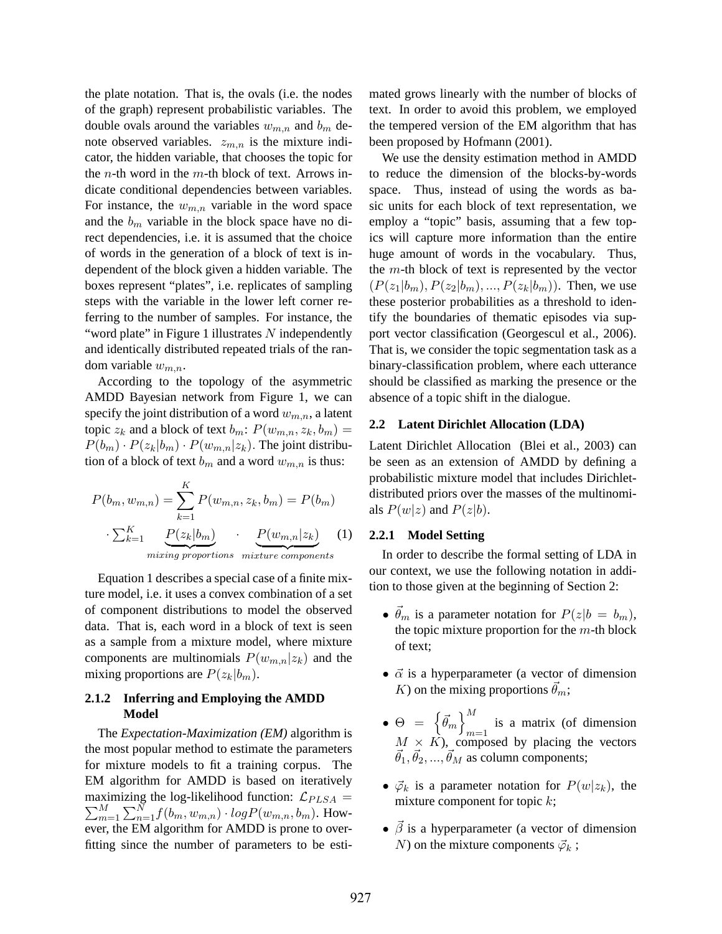the plate notation. That is, the ovals (i.e. the nodes of the graph) represent probabilistic variables. The double ovals around the variables  $w_{m,n}$  and  $b_m$  denote observed variables.  $z_{m,n}$  is the mixture indicator, the hidden variable, that chooses the topic for the *n*-th word in the *m*-th block of text. Arrows indicate conditional dependencies between variables. For instance, the  $w_{m,n}$  variable in the word space and the  $b_m$  variable in the block space have no direct dependencies, i.e. it is assumed that the choice of words in the generation of a block of text is independent of the block given a hidden variable. The boxes represent "plates", i.e. replicates of sampling steps with the variable in the lower left corner referring to the number of samples. For instance, the "word plate" in Figure 1 illustrates  $N$  independently and identically distributed repeated trials of the random variable  $w_{m,n}$ .

According to the topology of the asymmetric AMDD Bayesian network from Figure 1, we can specify the joint distribution of a word  $w_{m,n}$ , a latent topic  $z_k$  and a block of text  $b_m$ :  $P(w_{m,n}, z_k, b_m)$  =  $P(b_m) \cdot P(z_k|b_m) \cdot P(w_{m,n}|z_k)$ . The joint distribution of a block of text  $b_m$  and a word  $w_{m,n}$  is thus:

$$
P(b_m, w_{m,n}) = \sum_{k=1}^{K} P(w_{m,n}, z_k, b_m) = P(b_m)
$$

$$
\cdot \sum_{k=1}^{K} \underbrace{P(z_k|b_m)}_{mixing\ proportions} \cdot \underbrace{P(w_{m,n}|z_k)}_{mixture\ components} (1)
$$

Equation 1 describes a special case of a finite mixture model, i.e. it uses a convex combination of a set of component distributions to model the observed data. That is, each word in a block of text is seen as a sample from a mixture model, where mixture components are multinomials  $P(w_{m,n}|z_k)$  and the mixing proportions are  $P(z_k|b_m)$ .

### **2.1.2 Inferring and Employing the AMDD Model**

The *Expectation-Maximization (EM)* algorithm is the most popular method to estimate the parameters for mixture models to fit a training corpus. The EM algorithm for AMDD is based on iteratively maximizing the log-likelihood function:  $\mathcal{L}_{PLSA} =$  $\sum_{m}^{M}$  $_{m=1}^{M}\sum_{n=1}^{N}f(b_{m},w_{m,n})\cdot logP(w_{m,n},b_{m}).$  However, the EM algorithm for AMDD is prone to overfitting since the number of parameters to be estimated grows linearly with the number of blocks of text. In order to avoid this problem, we employed the tempered version of the EM algorithm that has been proposed by Hofmann (2001).

We use the density estimation method in AMDD to reduce the dimension of the blocks-by-words space. Thus, instead of using the words as basic units for each block of text representation, we employ a "topic" basis, assuming that a few topics will capture more information than the entire huge amount of words in the vocabulary. Thus, the  $m$ -th block of text is represented by the vector  $(P(z_1|b_m), P(z_2|b_m), ..., P(z_k|b_m))$ . Then, we use these posterior probabilities as a threshold to identify the boundaries of thematic episodes via support vector classification (Georgescul et al., 2006). That is, we consider the topic segmentation task as a binary-classification problem, where each utterance should be classified as marking the presence or the absence of a topic shift in the dialogue.

#### **2.2 Latent Dirichlet Allocation (LDA)**

Latent Dirichlet Allocation (Blei et al., 2003) can be seen as an extension of AMDD by defining a probabilistic mixture model that includes Dirichletdistributed priors over the masses of the multinomials  $P(w|z)$  and  $P(z|b)$ .

#### **2.2.1 Model Setting**

In order to describe the formal setting of LDA in our context, we use the following notation in addition to those given at the beginning of Section 2:

- $\vec{\theta}_m$  is a parameter notation for  $P(z|b = b_m)$ , the topic mixture proportion for the  $m$ -th block of text;
- $\vec{\alpha}$  is a hyperparameter (a vector of dimension K) on the mixing proportions  $\theta_m$ ;
- $\bullet$   $\Theta$  =  $\left\lbrace \vec{\theta }_{m}\right\rbrace ^{M}$  $m=1$  is a matrix (of dimension  $M \times K$ ), composed by placing the vectors  $\vec{\theta}_1, \vec{\theta}_2, ..., \vec{\theta}_M$  as column components;
- $\vec{\varphi}_k$  is a parameter notation for  $P(w|z_k)$ , the mixture component for topic  $k$ ;
- $\vec{\beta}$  is a hyperparameter (a vector of dimension N) on the mixture components  $\vec{\varphi}_k$ ;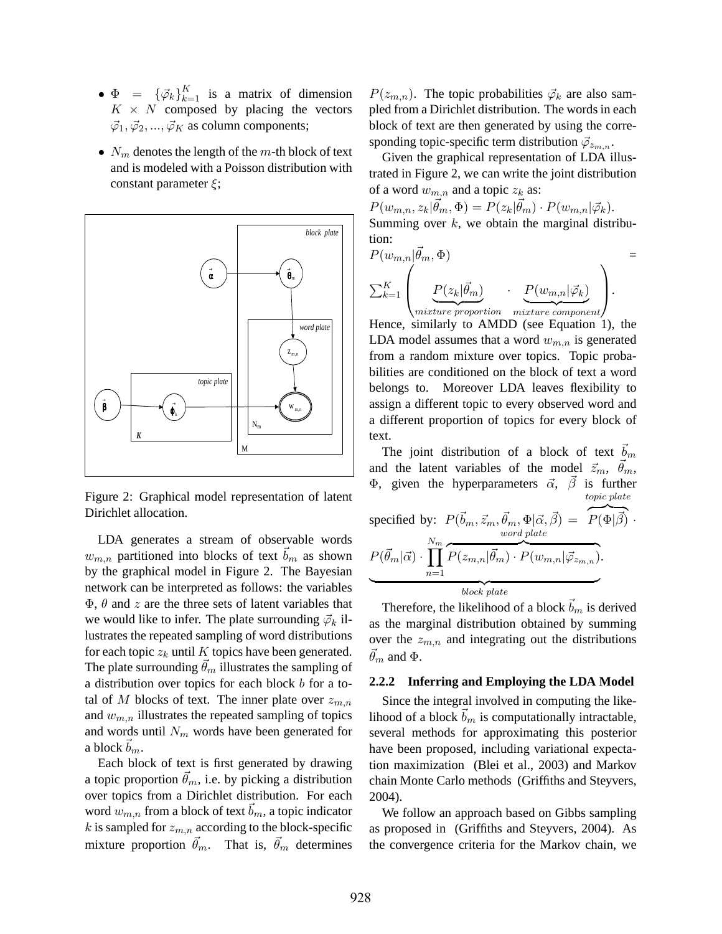- $\Phi = {\{\vec{\varphi}_k\}}_{k=1}^K$  is a matrix of dimension  $K \times N$  composed by placing the vectors  $\vec{\varphi}_1, \vec{\varphi}_2, ..., \vec{\varphi}_K$  as column components;
- $N_m$  denotes the length of the m-th block of text and is modeled with a Poisson distribution with constant parameter  $\xi$ ;



Figure 2: Graphical model representation of latent Dirichlet allocation.

LDA generates a stream of observable words  $w_{m,n}$  partitioned into blocks of text  $\vec{b}_m$  as shown by the graphical model in Figure 2. The Bayesian network can be interpreted as follows: the variables  $\Phi$ ,  $\theta$  and z are the three sets of latent variables that we would like to infer. The plate surrounding  $\vec{\varphi}_k$  illustrates the repeated sampling of word distributions for each topic  $z_k$  until K topics have been generated. The plate surrounding  $\hat{\theta}_m$  illustrates the sampling of a distribution over topics for each block b for a total of M blocks of text. The inner plate over  $z_{m,n}$ and  $w_{m,n}$  illustrates the repeated sampling of topics and words until  $N_m$  words have been generated for a block  $b_m$ .

Each block of text is first generated by drawing a topic proportion  $\vec{\theta}_m$ , i.e. by picking a distribution over topics from a Dirichlet distribution. For each word  $w_{m,n}$  from a block of text  $b_m$ , a topic indicator k is sampled for  $z_{m,n}$  according to the block-specific mixture proportion  $\vec{\theta}_m$ . That is,  $\vec{\theta}_m$  determines

 $P(z_{m,n})$ . The topic probabilities  $\vec{\varphi}_k$  are also sampled from a Dirichlet distribution. The words in each block of text are then generated by using the corresponding topic-specific term distribution  $\vec{\varphi}_{z_{m,n}}$ .

Given the graphical representation of LDA illustrated in Figure 2, we can write the joint distribution of a word  $w_{m,n}$  and a topic  $z_k$  as:

 $P(w_{m,n}, z_k | \vec{\theta}_m, \Phi) = P(z_k | \vec{\theta}_m) \cdot P(w_{m,n} | \vec{\varphi}_k).$ Summing over  $k$ , we obtain the marginal distribution:

$$
P(w_{m,n}|\vec{\theta}_m, \Phi) = \sum_{k=1}^{K} \left( \underbrace{P(z_k|\vec{\theta}_m)}_{mixture\ proportion} \cdot \underbrace{P(w_{m,n}|\vec{\varphi}_k)}_{mixture\ component} \right).
$$

Hence, similarly to AMDD (see Equation 1), the LDA model assumes that a word  $w_{m,n}$  is generated from a random mixture over topics. Topic probabilities are conditioned on the block of text a word belongs to. Moreover LDA leaves flexibility to assign a different topic to every observed word and a different proportion of topics for every block of text.

The joint distribution of a block of text  $b_m$ and the latent variables of the model  $\vec{z}_m$ ,  $\vec{\theta}_m$ , Φ, given the hyperparameters  $\vec{\alpha}$ ,  $\vec{\beta}$  is further specified by:  $P(\vec{b}_m, \vec{z}_m, \vec{\theta}_m, \Phi | \vec{\alpha}, \vec{\beta}) = \overline{P(\Phi | \vec{\beta})}$ . topic plate  $P(\vec{\theta}_m | \vec{\alpha}) \cdot \prod$  $N_m$  $n=1$ word plate  $\widetilde{P(z_{m,n}|\vec{\theta}_{m})\cdot P(w_{m,n}|\vec{\varphi}_{z_{m,n}})}$ .

 ${block}$   ${block}$   ${place}$   ${plate}$ 

Therefore, the likelihood of a block  $b_m$  is derived as the marginal distribution obtained by summing over the  $z_{m,n}$  and integrating out the distributions  $\dot{\theta_m}$  and  $\Phi$ .

# **2.2.2 Inferring and Employing the LDA Model**

Since the integral involved in computing the likelihood of a block  $b_m$  is computationally intractable, several methods for approximating this posterior have been proposed, including variational expectation maximization (Blei et al., 2003) and Markov chain Monte Carlo methods (Griffiths and Steyvers, 2004).

We follow an approach based on Gibbs sampling as proposed in (Griffiths and Steyvers, 2004). As the convergence criteria for the Markov chain, we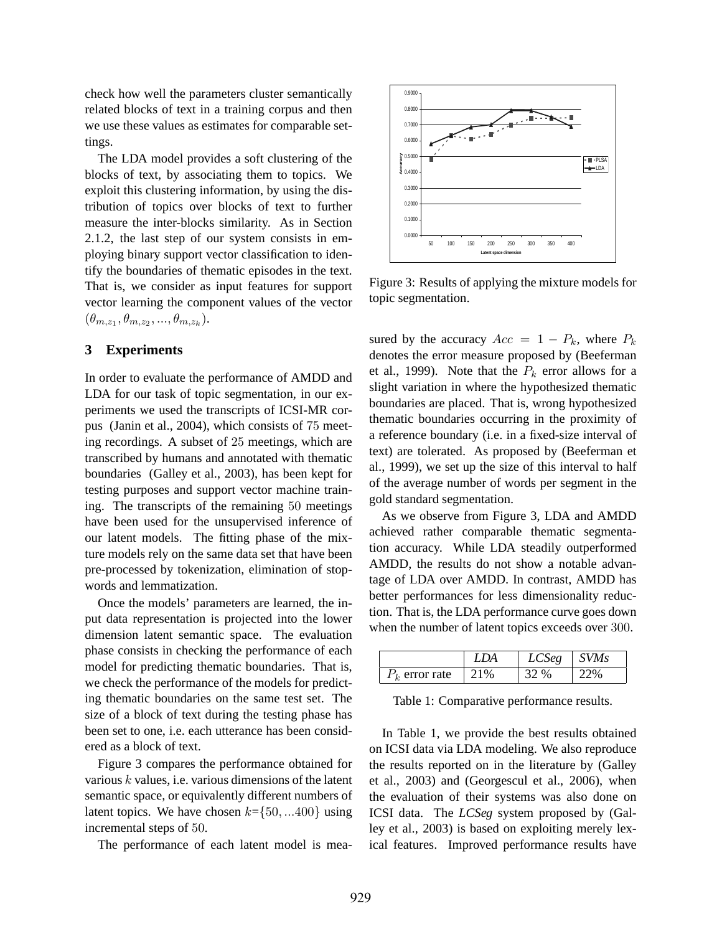check how well the parameters cluster semantically related blocks of text in a training corpus and then we use these values as estimates for comparable settings.

The LDA model provides a soft clustering of the blocks of text, by associating them to topics. We exploit this clustering information, by using the distribution of topics over blocks of text to further measure the inter-blocks similarity. As in Section 2.1.2, the last step of our system consists in employing binary support vector classification to identify the boundaries of thematic episodes in the text. That is, we consider as input features for support vector learning the component values of the vector  $(\theta_{m,z_1}, \theta_{m,z_2}, ..., \theta_{m,z_k}).$ 

# **3 Experiments**

In order to evaluate the performance of AMDD and LDA for our task of topic segmentation, in our experiments we used the transcripts of ICSI-MR corpus (Janin et al., 2004), which consists of 75 meeting recordings. A subset of 25 meetings, which are transcribed by humans and annotated with thematic boundaries (Galley et al., 2003), has been kept for testing purposes and support vector machine training. The transcripts of the remaining 50 meetings have been used for the unsupervised inference of our latent models. The fitting phase of the mixture models rely on the same data set that have been pre-processed by tokenization, elimination of stopwords and lemmatization.

Once the models' parameters are learned, the input data representation is projected into the lower dimension latent semantic space. The evaluation phase consists in checking the performance of each model for predicting thematic boundaries. That is, we check the performance of the models for predicting thematic boundaries on the same test set. The size of a block of text during the testing phase has been set to one, i.e. each utterance has been considered as a block of text.

Figure 3 compares the performance obtained for various  $k$  values, i.e. various dimensions of the latent semantic space, or equivalently different numbers of latent topics. We have chosen  $k = \{50, ... 400\}$  using incremental steps of 50.

The performance of each latent model is mea-



Figure 3: Results of applying the mixture models for topic segmentation.

sured by the accuracy  $Acc = 1 - P_k$ , where  $P_k$ denotes the error measure proposed by (Beeferman et al., 1999). Note that the  $P_k$  error allows for a slight variation in where the hypothesized thematic boundaries are placed. That is, wrong hypothesized thematic boundaries occurring in the proximity of a reference boundary (i.e. in a fixed-size interval of text) are tolerated. As proposed by (Beeferman et al., 1999), we set up the size of this interval to half of the average number of words per segment in the gold standard segmentation.

As we observe from Figure 3, LDA and AMDD achieved rather comparable thematic segmentation accuracy. While LDA steadily outperformed AMDD, the results do not show a notable advantage of LDA over AMDD. In contrast, AMDD has better performances for less dimensionality reduction. That is, the LDA performance curve goes down when the number of latent topics exceeds over 300.

|                  | LDA  | LCSeg | $\vert$ SVMs |
|------------------|------|-------|--------------|
| $P_k$ error rate | 121% | 32 %  |              |

Table 1: Comparative performance results.

In Table 1, we provide the best results obtained on ICSI data via LDA modeling. We also reproduce the results reported on in the literature by (Galley et al., 2003) and (Georgescul et al., 2006), when the evaluation of their systems was also done on ICSI data. The *LCSeg* system proposed by (Galley et al., 2003) is based on exploiting merely lexical features. Improved performance results have